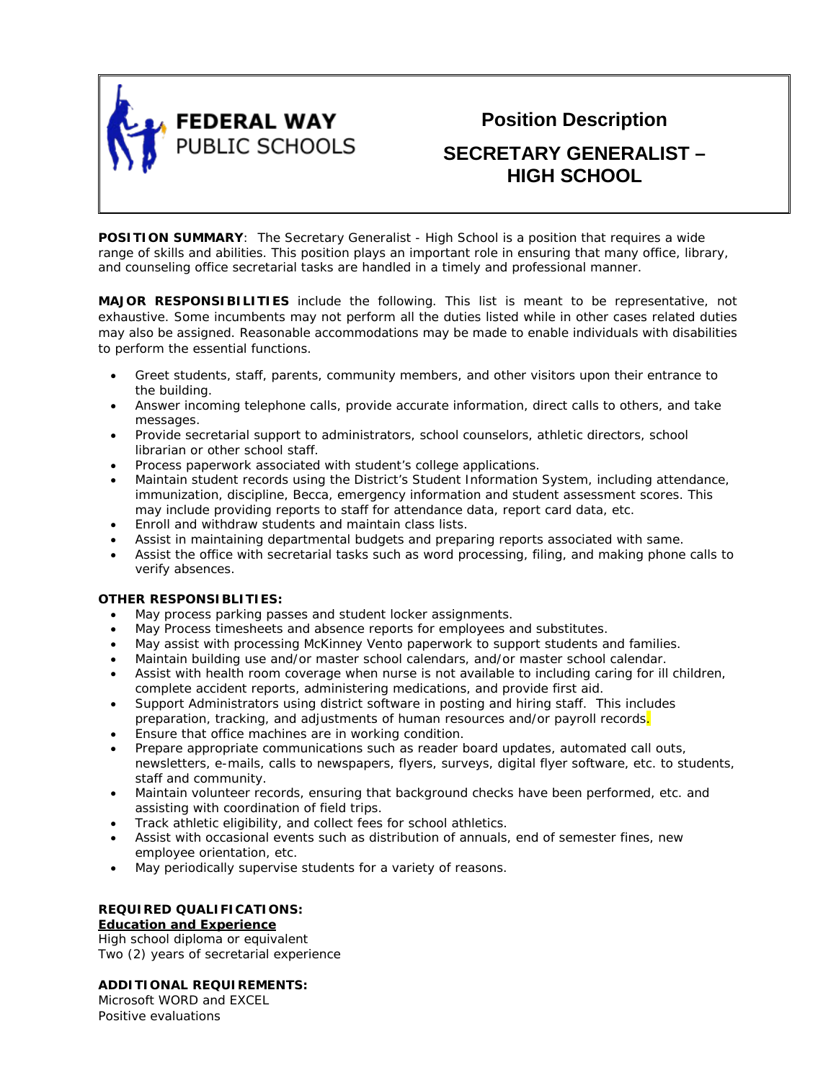

**Position Description**

# **SECRETARY GENERALIST – HIGH SCHOOL**

**POSITION SUMMARY:** The Secretary Generalist - High School is a position that requires a wide range of skills and abilities. This position plays an important role in ensuring that many office, library, and counseling office secretarial tasks are handled in a timely and professional manner.

**MAJOR RESPONSIBILITIES** include the following. This list is meant to be representative, not exhaustive. Some incumbents may not perform all the duties listed while in other cases related duties may also be assigned. Reasonable accommodations may be made to enable individuals with disabilities to perform the essential functions.

- Greet students, staff, parents, community members, and other visitors upon their entrance to the building.
- Answer incoming telephone calls, provide accurate information, direct calls to others, and take messages.
- Provide secretarial support to administrators, school counselors, athletic directors, school librarian or other school staff.
- Process paperwork associated with student's college applications.
- Maintain student records using the District's Student Information System, including attendance, immunization, discipline, Becca, emergency information and student assessment scores. This may include providing reports to staff for attendance data, report card data, etc.
- Enroll and withdraw students and maintain class lists.
- Assist in maintaining departmental budgets and preparing reports associated with same.
- Assist the office with secretarial tasks such as word processing, filing, and making phone calls to verify absences.

## **OTHER RESPONSIBLITIES:**

- May process parking passes and student locker assignments.
- May Process timesheets and absence reports for employees and substitutes.
- May assist with processing McKinney Vento paperwork to support students and families.
- Maintain building use and/or master school calendars, and/or master school calendar.
- Assist with health room coverage when nurse is not available to including caring for ill children, complete accident reports, administering medications, and provide first aid.
- Support Administrators using district software in posting and hiring staff. This includes preparation, tracking, and adjustments of human resources and/or payroll records.
- Ensure that office machines are in working condition.
- Prepare appropriate communications such as reader board updates, automated call outs, newsletters, e-mails, calls to newspapers, flyers, surveys, digital flyer software, etc. to students, staff and community.
- Maintain volunteer records, ensuring that background checks have been performed, etc. and assisting with coordination of field trips.
- Track athletic eligibility, and collect fees for school athletics.
- Assist with occasional events such as distribution of annuals, end of semester fines, new employee orientation, etc.
- May periodically supervise students for a variety of reasons.

## **REQUIRED QUALIFICATIONS:**

## **Education and Experience**

High school diploma or equivalent Two (2) years of secretarial experience

## **ADDITIONAL REQUIREMENTS:**

Microsoft WORD and EXCEL Positive evaluations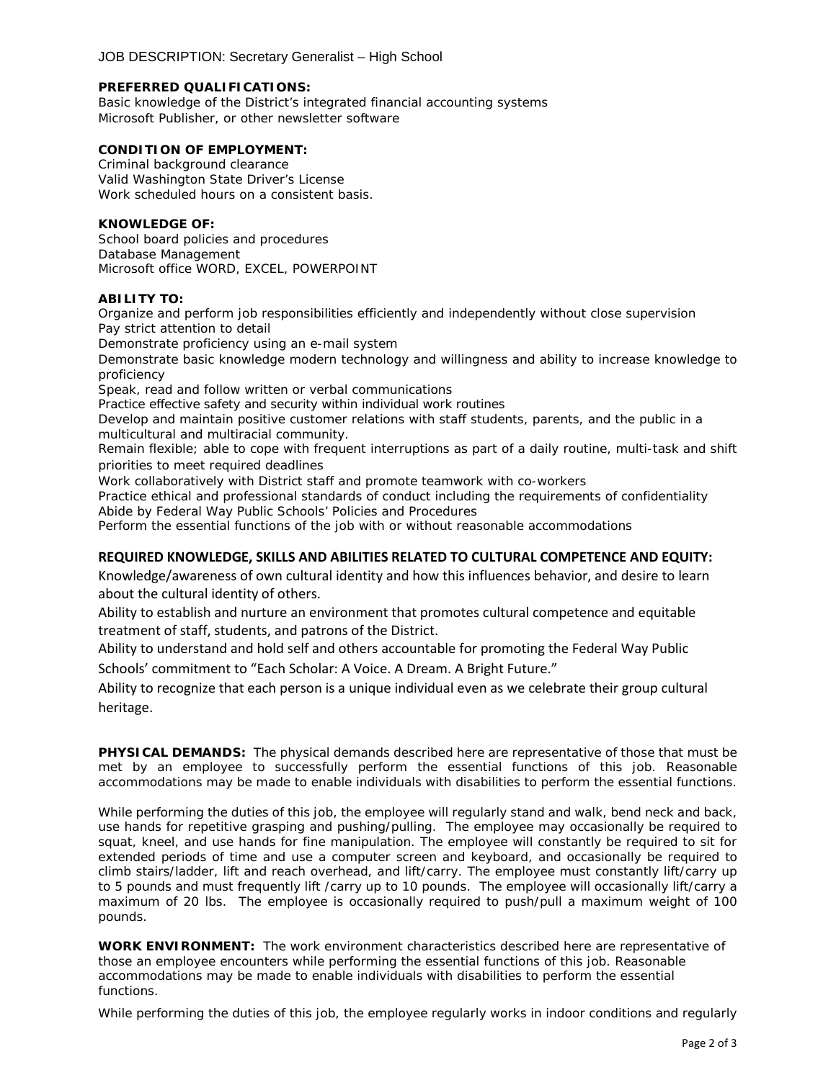#### **PREFERRED QUALIFICATIONS:**

Basic knowledge of the District's integrated financial accounting systems Microsoft Publisher, or other newsletter software

## **CONDITION OF EMPLOYMENT:**

Criminal background clearance Valid Washington State Driver's License Work scheduled hours on a consistent basis.

## **KNOWLEDGE OF:**

School board policies and procedures Database Management Microsoft office WORD, EXCEL, POWERPOINT

### **ABILITY TO:**

Organize and perform job responsibilities efficiently and independently without close supervision Pay strict attention to detail

Demonstrate proficiency using an e-mail system

Demonstrate basic knowledge modern technology and willingness and ability to increase knowledge to proficiency

Speak, read and follow written or verbal communications

Practice effective safety and security within individual work routines

Develop and maintain positive customer relations with staff students, parents, and the public in a multicultural and multiracial community.

Remain flexible; able to cope with frequent interruptions as part of a daily routine, multi-task and shift priorities to meet required deadlines

Work collaboratively with District staff and promote teamwork with co-workers

Practice ethical and professional standards of conduct including the requirements of confidentiality Abide by Federal Way Public Schools' Policies and Procedures

Perform the essential functions of the job with or without reasonable accommodations

## **REQUIRED KNOWLEDGE, SKILLS AND ABILITIES RELATED TO CULTURAL COMPETENCE AND EQUITY:**

Knowledge/awareness of own cultural identity and how this influences behavior, and desire to learn about the cultural identity of others.

Ability to establish and nurture an environment that promotes cultural competence and equitable treatment of staff, students, and patrons of the District.

Ability to understand and hold self and others accountable for promoting the Federal Way Public

Schools' commitment to "Each Scholar: A Voice. A Dream. A Bright Future."

Ability to recognize that each person is a unique individual even as we celebrate their group cultural heritage.

**PHYSICAL DEMANDS:** The physical demands described here are representative of those that must be met by an employee to successfully perform the essential functions of this job. Reasonable accommodations may be made to enable individuals with disabilities to perform the essential functions.

While performing the duties of this job, the employee will regularly stand and walk, bend neck and back, use hands for repetitive grasping and pushing/pulling. The employee may occasionally be required to squat, kneel, and use hands for fine manipulation. The employee will constantly be required to sit for extended periods of time and use a computer screen and keyboard, and occasionally be required to climb stairs/ladder, lift and reach overhead, and lift/carry. The employee must constantly lift/carry up to 5 pounds and must frequently lift /carry up to 10 pounds. The employee will occasionally lift/carry a maximum of 20 lbs. The employee is occasionally required to push/pull a maximum weight of 100 pounds.

**WORK ENVIRONMENT:** The work environment characteristics described here are representative of those an employee encounters while performing the essential functions of this job. Reasonable accommodations may be made to enable individuals with disabilities to perform the essential functions.

While performing the duties of this job, the employee regularly works in indoor conditions and regularly